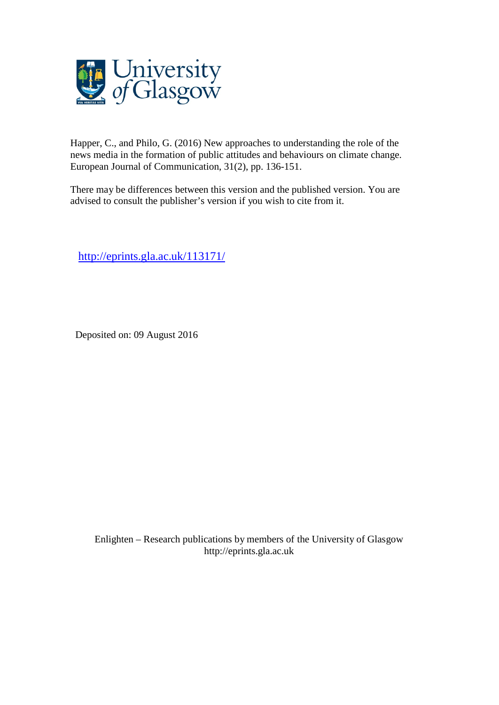

Happer, C., and Philo, G. (2016) New approaches to understanding the role of the news media in the formation of public attitudes and behaviours on climate change. European Journal of Communication, 31(2), pp. 136-151.

There may be differences between this version and the published version. You are advised to consult the publisher's version if you wish to cite from it.

<http://eprints.gla.ac.uk/113171/>

Deposited on: 09 August 2016

Enlighten – Research publications by members of the University of Glasgo[w](http://eprints.gla.ac.uk/) [http://eprints.gla.ac.uk](http://eprints.gla.ac.uk/)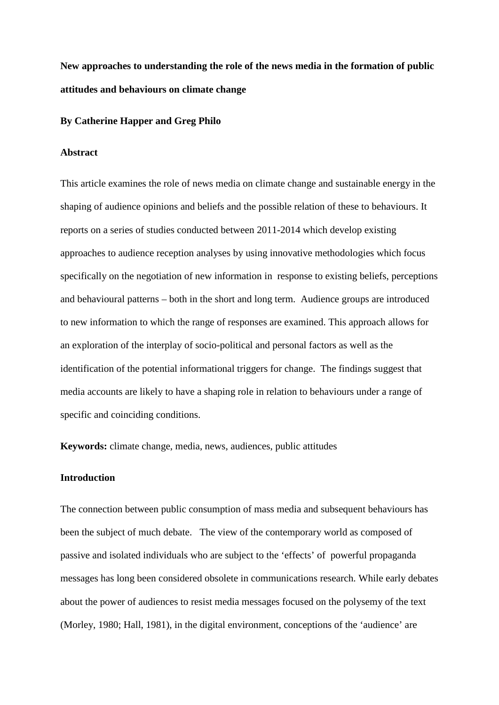**New approaches to understanding the role of the news media in the formation of public attitudes and behaviours on climate change**

### **By Catherine Happer and Greg Philo**

### **Abstract**

This article examines the role of news media on climate change and sustainable energy in the shaping of audience opinions and beliefs and the possible relation of these to behaviours. It reports on a series of studies conducted between 2011-2014 which develop existing approaches to audience reception analyses by using innovative methodologies which focus specifically on the negotiation of new information in response to existing beliefs, perceptions and behavioural patterns – both in the short and long term. Audience groups are introduced to new information to which the range of responses are examined. This approach allows for an exploration of the interplay of socio-political and personal factors as well as the identification of the potential informational triggers for change. The findings suggest that media accounts are likely to have a shaping role in relation to behaviours under a range of specific and coinciding conditions.

**Keywords:** climate change, media, news, audiences, public attitudes

## **Introduction**

The connection between public consumption of mass media and subsequent behaviours has been the subject of much debate. The view of the contemporary world as composed of passive and isolated individuals who are subject to the 'effects' of powerful propaganda messages has long been considered obsolete in communications research. While early debates about the power of audiences to resist media messages focused on the polysemy of the text (Morley, 1980; Hall, 1981), in the digital environment, conceptions of the 'audience' are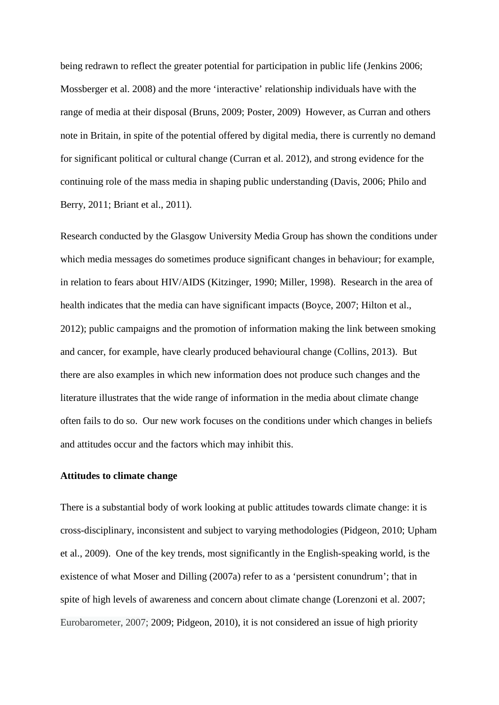being redrawn to reflect the greater potential for participation in public life (Jenkins 2006; Mossberger et al. 2008) and the more 'interactive' relationship individuals have with the range of media at their disposal (Bruns, 2009; Poster, 2009) However, as Curran and others note in Britain, in spite of the potential offered by digital media, there is currently no demand for significant political or cultural change (Curran et al. 2012), and strong evidence for the continuing role of the mass media in shaping public understanding (Davis, 2006; Philo and Berry, 2011; Briant et al., 2011).

Research conducted by the Glasgow University Media Group has shown the conditions under which media messages do sometimes produce significant changes in behaviour; for example, in relation to fears about HIV/AIDS (Kitzinger, 1990; Miller, 1998). Research in the area of health indicates that the media can have significant impacts (Boyce, 2007; Hilton et al., 2012); public campaigns and the promotion of information making the link between smoking and cancer, for example, have clearly produced behavioural change (Collins, 2013). But there are also examples in which new information does not produce such changes and the literature illustrates that the wide range of information in the media about climate change often fails to do so. Our new work focuses on the conditions under which changes in beliefs and attitudes occur and the factors which may inhibit this.

### **Attitudes to climate change**

There is a substantial body of work looking at public attitudes towards climate change: it is cross-disciplinary, inconsistent and subject to varying methodologies (Pidgeon, 2010; Upham et al., 2009). One of the key trends, most significantly in the English-speaking world, is the existence of what Moser and Dilling (2007a) refer to as a 'persistent conundrum'; that in spite of high levels of awareness and concern about climate change (Lorenzoni et al. 2007; Eurobarometer, 2007; 2009; Pidgeon, 2010), it is not considered an issue of high priority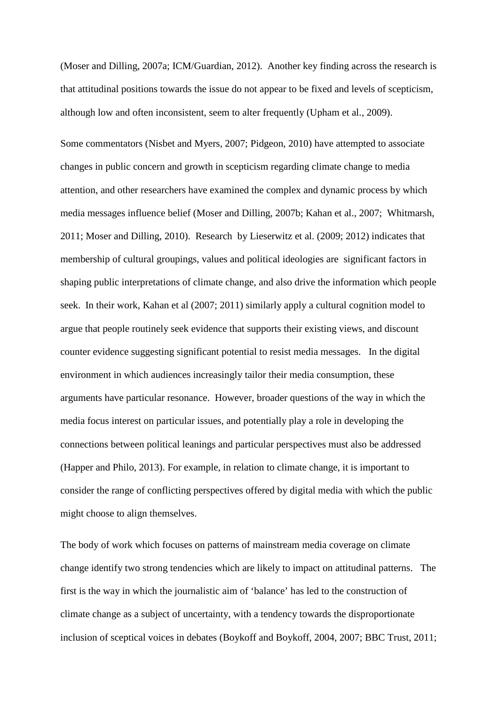(Moser and Dilling, 2007a; ICM/Guardian, 2012). Another key finding across the research is that attitudinal positions towards the issue do not appear to be fixed and levels of scepticism, although low and often inconsistent, seem to alter frequently (Upham et al., 2009).

Some commentators (Nisbet and Myers, 2007; Pidgeon, 2010) have attempted to associate changes in public concern and growth in scepticism regarding climate change to media attention, and other researchers have examined the complex and dynamic process by which media messages influence belief (Moser and Dilling, 2007b; Kahan et al., 2007; Whitmarsh, 2011; Moser and Dilling, 2010). Research by Lieserwitz et al. (2009; 2012) indicates that membership of cultural groupings, values and political ideologies are significant factors in shaping public interpretations of climate change, and also drive the information which people seek. In their work, Kahan et al (2007; 2011) similarly apply a cultural cognition model to argue that people routinely seek evidence that supports their existing views, and discount counter evidence suggesting significant potential to resist media messages. In the digital environment in which audiences increasingly tailor their media consumption, these arguments have particular resonance. However, broader questions of the way in which the media focus interest on particular issues, and potentially play a role in developing the connections between political leanings and particular perspectives must also be addressed (Happer and Philo, 2013). For example, in relation to climate change, it is important to consider the range of conflicting perspectives offered by digital media with which the public might choose to align themselves.

The body of work which focuses on patterns of mainstream media coverage on climate change identify two strong tendencies which are likely to impact on attitudinal patterns. The first is the way in which the journalistic aim of 'balance' has led to the construction of climate change as a subject of uncertainty, with a tendency towards the disproportionate inclusion of sceptical voices in debates (Boykoff and Boykoff, 2004, 2007; BBC Trust, 2011;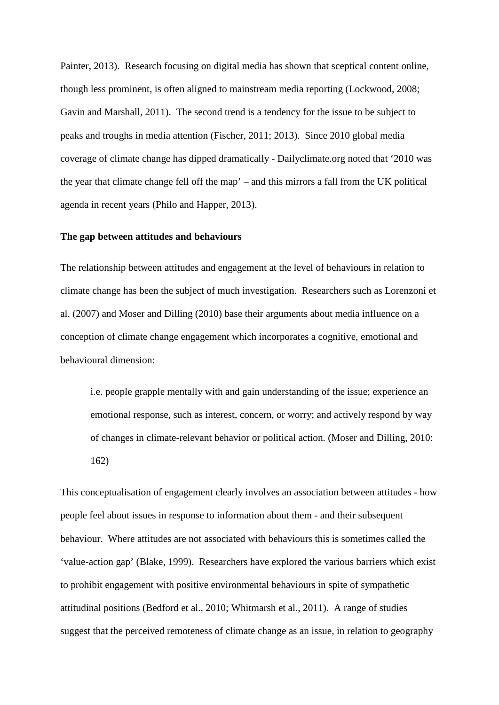Painter, 2013). Research focusing on digital media has shown that sceptical content online, though less prominent, is often aligned to mainstream media reporting (Lockwood, 2008; Gavin and Marshall, 2011). The second trend is a tendency for the issue to be subject to peaks and troughs in media attention (Fischer, 2011; 2013). Since 2010 global media coverage of climate change has dipped dramatically - Dailyclimate.org noted that '2010 was the year that climate change fell off the map' – and this mirrors a fall from the UK political agenda in recent years (Philo and Happer, 2013).

### **The gap between attitudes and behaviours**

The relationship between attitudes and engagement at the level of behaviours in relation to climate change has been the subject of much investigation. Researchers such as Lorenzoni et al. (2007) and Moser and Dilling (2010) base their arguments about media influence on a conception of climate change engagement which incorporates a cognitive, emotional and behavioural dimension:

i.e. people grapple mentally with and gain understanding of the issue; experience an emotional response, such as interest, concern, or worry; and actively respond by way of changes in climate-relevant behavior or political action. (Moser and Dilling, 2010: 162)

This conceptualisation of engagement clearly involves an association between attitudes - how people feel about issues in response to information about them - and their subsequent behaviour. Where attitudes are not associated with behaviours this is sometimes called the 'value-action gap' (Blake, 1999). Researchers have explored the various barriers which exist to prohibit engagement with positive environmental behaviours in spite of sympathetic attitudinal positions (Bedford et al., 2010; Whitmarsh et al., 2011). A range of studies suggest that the perceived remoteness of climate change as an issue, in relation to geography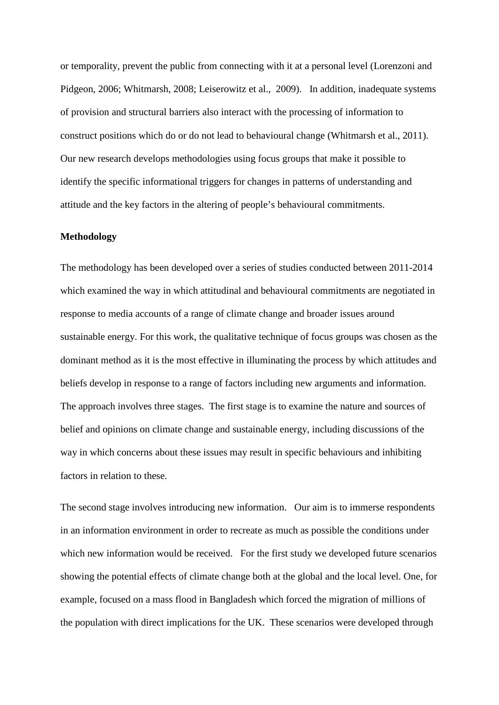or temporality, prevent the public from connecting with it at a personal level (Lorenzoni and Pidgeon, 2006; Whitmarsh, 2008; Leiserowitz et al., 2009). In addition, inadequate systems of provision and structural barriers also interact with the processing of information to construct positions which do or do not lead to behavioural change (Whitmarsh et al., 2011). Our new research develops methodologies using focus groups that make it possible to identify the specific informational triggers for changes in patterns of understanding and attitude and the key factors in the altering of people's behavioural commitments.

### **Methodology**

The methodology has been developed over a series of studies conducted between 2011-2014 which examined the way in which attitudinal and behavioural commitments are negotiated in response to media accounts of a range of climate change and broader issues around sustainable energy. For this work, the qualitative technique of focus groups was chosen as the dominant method as it is the most effective in illuminating the process by which attitudes and beliefs develop in response to a range of factors including new arguments and information. The approach involves three stages. The first stage is to examine the nature and sources of belief and opinions on climate change and sustainable energy, including discussions of the way in which concerns about these issues may result in specific behaviours and inhibiting factors in relation to these.

The second stage involves introducing new information. Our aim is to immerse respondents in an information environment in order to recreate as much as possible the conditions under which new information would be received. For the first study we developed future scenarios showing the potential effects of climate change both at the global and the local level. One, for example, focused on a mass flood in Bangladesh which forced the migration of millions of the population with direct implications for the UK. These scenarios were developed through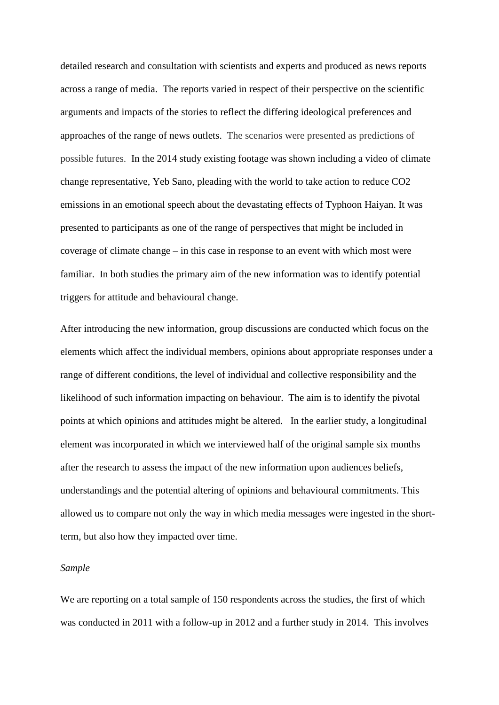detailed research and consultation with scientists and experts and produced as news reports across a range of media. The reports varied in respect of their perspective on the scientific arguments and impacts of the stories to reflect the differing ideological preferences and approaches of the range of news outlets. The scenarios were presented as predictions of possible futures. In the 2014 study existing footage was shown including a video of climate change representative, Yeb Sano, pleading with the world to take action to reduce CO2 emissions in an emotional speech about the devastating effects of Typhoon Haiyan. It was presented to participants as one of the range of perspectives that might be included in coverage of climate change – in this case in response to an event with which most were familiar. In both studies the primary aim of the new information was to identify potential triggers for attitude and behavioural change.

After introducing the new information, group discussions are conducted which focus on the elements which affect the individual members, opinions about appropriate responses under a range of different conditions, the level of individual and collective responsibility and the likelihood of such information impacting on behaviour. The aim is to identify the pivotal points at which opinions and attitudes might be altered. In the earlier study, a longitudinal element was incorporated in which we interviewed half of the original sample six months after the research to assess the impact of the new information upon audiences beliefs, understandings and the potential altering of opinions and behavioural commitments. This allowed us to compare not only the way in which media messages were ingested in the shortterm, but also how they impacted over time.

### *Sample*

We are reporting on a total sample of 150 respondents across the studies, the first of which was conducted in 2011 with a follow-up in 2012 and a further study in 2014. This involves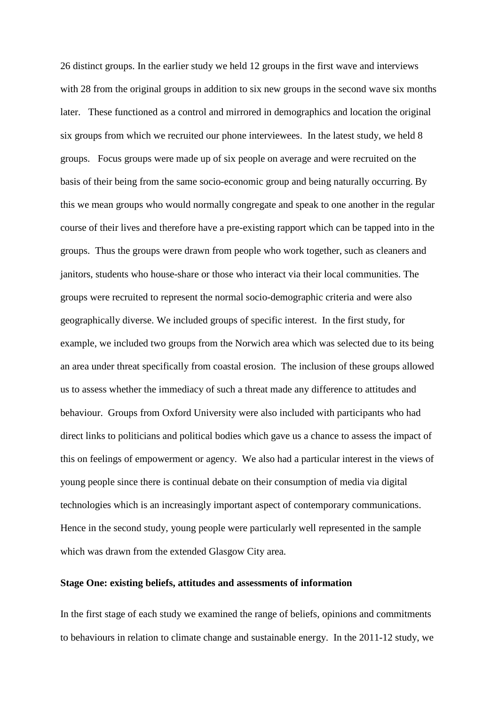26 distinct groups. In the earlier study we held 12 groups in the first wave and interviews with 28 from the original groups in addition to six new groups in the second wave six months later. These functioned as a control and mirrored in demographics and location the original six groups from which we recruited our phone interviewees. In the latest study, we held 8 groups. Focus groups were made up of six people on average and were recruited on the basis of their being from the same socio-economic group and being naturally occurring. By this we mean groups who would normally congregate and speak to one another in the regular course of their lives and therefore have a pre-existing rapport which can be tapped into in the groups. Thus the groups were drawn from people who work together, such as cleaners and janitors, students who house-share or those who interact via their local communities. The groups were recruited to represent the normal socio-demographic criteria and were also geographically diverse. We included groups of specific interest. In the first study, for example, we included two groups from the Norwich area which was selected due to its being an area under threat specifically from coastal erosion. The inclusion of these groups allowed us to assess whether the immediacy of such a threat made any difference to attitudes and behaviour. Groups from Oxford University were also included with participants who had direct links to politicians and political bodies which gave us a chance to assess the impact of this on feelings of empowerment or agency. We also had a particular interest in the views of young people since there is continual debate on their consumption of media via digital technologies which is an increasingly important aspect of contemporary communications. Hence in the second study, young people were particularly well represented in the sample which was drawn from the extended Glasgow City area.

### **Stage One: existing beliefs, attitudes and assessments of information**

In the first stage of each study we examined the range of beliefs, opinions and commitments to behaviours in relation to climate change and sustainable energy. In the 2011-12 study, we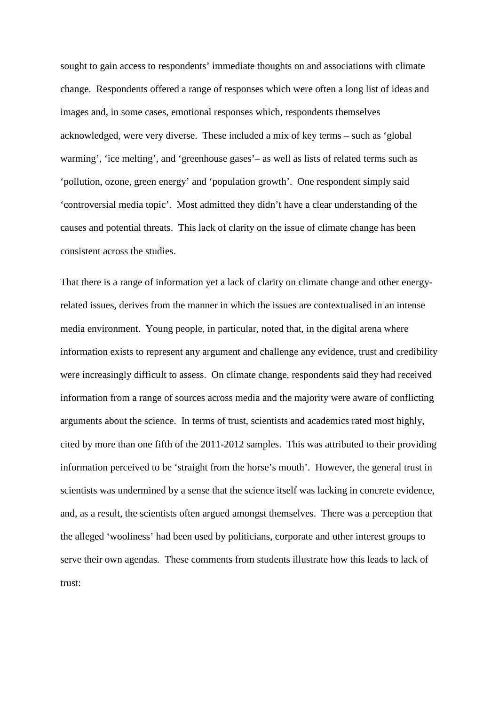sought to gain access to respondents' immediate thoughts on and associations with climate change. Respondents offered a range of responses which were often a long list of ideas and images and, in some cases, emotional responses which, respondents themselves acknowledged, were very diverse. These included a mix of key terms – such as 'global warming', 'ice melting', and 'greenhouse gases'– as well as lists of related terms such as 'pollution, ozone, green energy' and 'population growth'. One respondent simply said 'controversial media topic'. Most admitted they didn't have a clear understanding of the causes and potential threats. This lack of clarity on the issue of climate change has been consistent across the studies.

That there is a range of information yet a lack of clarity on climate change and other energyrelated issues, derives from the manner in which the issues are contextualised in an intense media environment. Young people, in particular, noted that, in the digital arena where information exists to represent any argument and challenge any evidence, trust and credibility were increasingly difficult to assess. On climate change, respondents said they had received information from a range of sources across media and the majority were aware of conflicting arguments about the science. In terms of trust, scientists and academics rated most highly, cited by more than one fifth of the 2011-2012 samples. This was attributed to their providing information perceived to be 'straight from the horse's mouth'. However, the general trust in scientists was undermined by a sense that the science itself was lacking in concrete evidence, and, as a result, the scientists often argued amongst themselves. There was a perception that the alleged 'wooliness' had been used by politicians, corporate and other interest groups to serve their own agendas. These comments from students illustrate how this leads to lack of trust: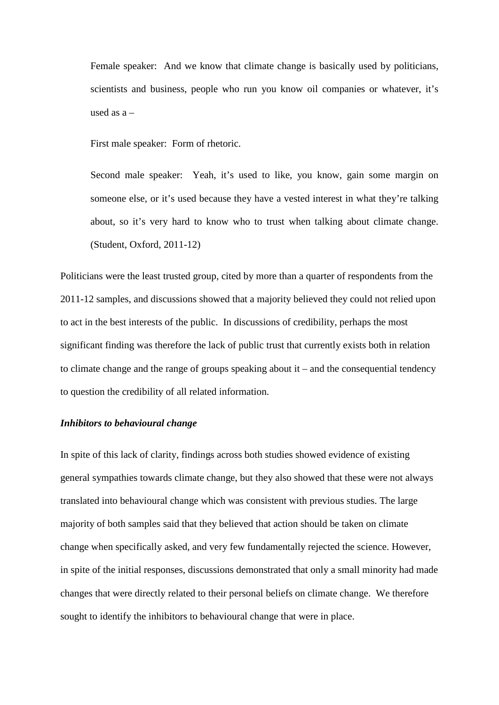Female speaker: And we know that climate change is basically used by politicians, scientists and business, people who run you know oil companies or whatever, it's used as a –

First male speaker: Form of rhetoric.

Second male speaker: Yeah, it's used to like, you know, gain some margin on someone else, or it's used because they have a vested interest in what they're talking about, so it's very hard to know who to trust when talking about climate change. (Student, Oxford, 2011-12)

Politicians were the least trusted group, cited by more than a quarter of respondents from the 2011-12 samples, and discussions showed that a majority believed they could not relied upon to act in the best interests of the public. In discussions of credibility, perhaps the most significant finding was therefore the lack of public trust that currently exists both in relation to climate change and the range of groups speaking about it – and the consequential tendency to question the credibility of all related information.

### *Inhibitors to behavioural change*

In spite of this lack of clarity, findings across both studies showed evidence of existing general sympathies towards climate change, but they also showed that these were not always translated into behavioural change which was consistent with previous studies. The large majority of both samples said that they believed that action should be taken on climate change when specifically asked, and very few fundamentally rejected the science. However, in spite of the initial responses, discussions demonstrated that only a small minority had made changes that were directly related to their personal beliefs on climate change. We therefore sought to identify the inhibitors to behavioural change that were in place.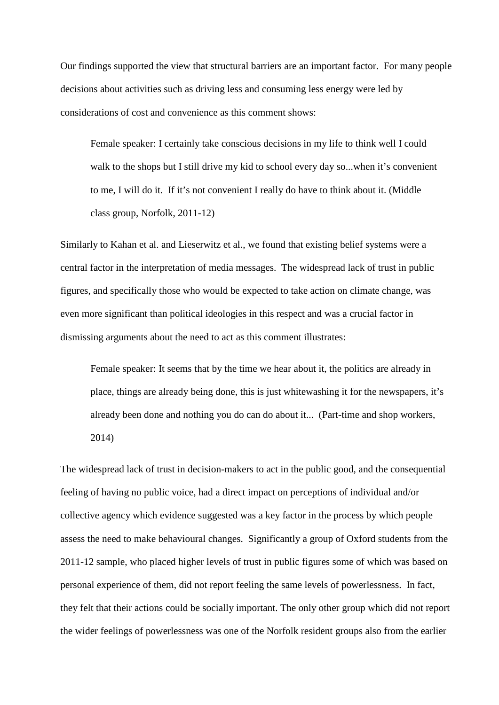Our findings supported the view that structural barriers are an important factor. For many people decisions about activities such as driving less and consuming less energy were led by considerations of cost and convenience as this comment shows:

Female speaker: I certainly take conscious decisions in my life to think well I could walk to the shops but I still drive my kid to school every day so...when it's convenient to me, I will do it. If it's not convenient I really do have to think about it. (Middle class group, Norfolk, 2011-12)

Similarly to Kahan et al. and Lieserwitz et al., we found that existing belief systems were a central factor in the interpretation of media messages. The widespread lack of trust in public figures, and specifically those who would be expected to take action on climate change, was even more significant than political ideologies in this respect and was a crucial factor in dismissing arguments about the need to act as this comment illustrates:

Female speaker: It seems that by the time we hear about it, the politics are already in place, things are already being done, this is just whitewashing it for the newspapers, it's already been done and nothing you do can do about it... (Part-time and shop workers, 2014)

The widespread lack of trust in decision-makers to act in the public good, and the consequential feeling of having no public voice, had a direct impact on perceptions of individual and/or collective agency which evidence suggested was a key factor in the process by which people assess the need to make behavioural changes. Significantly a group of Oxford students from the 2011-12 sample, who placed higher levels of trust in public figures some of which was based on personal experience of them, did not report feeling the same levels of powerlessness. In fact, they felt that their actions could be socially important. The only other group which did not report the wider feelings of powerlessness was one of the Norfolk resident groups also from the earlier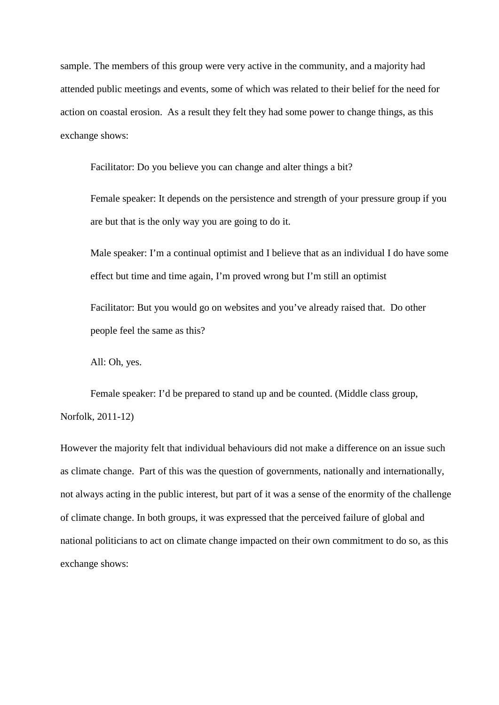sample. The members of this group were very active in the community, and a majority had attended public meetings and events, some of which was related to their belief for the need for action on coastal erosion. As a result they felt they had some power to change things, as this exchange shows:

Facilitator: Do you believe you can change and alter things a bit?

Female speaker: It depends on the persistence and strength of your pressure group if you are but that is the only way you are going to do it.

Male speaker: I'm a continual optimist and I believe that as an individual I do have some effect but time and time again, I'm proved wrong but I'm still an optimist

Facilitator: But you would go on websites and you've already raised that. Do other people feel the same as this?

All: Oh, yes.

Female speaker: I'd be prepared to stand up and be counted. (Middle class group, Norfolk, 2011-12)

However the majority felt that individual behaviours did not make a difference on an issue such as climate change. Part of this was the question of governments, nationally and internationally, not always acting in the public interest, but part of it was a sense of the enormity of the challenge of climate change. In both groups, it was expressed that the perceived failure of global and national politicians to act on climate change impacted on their own commitment to do so, as this exchange shows: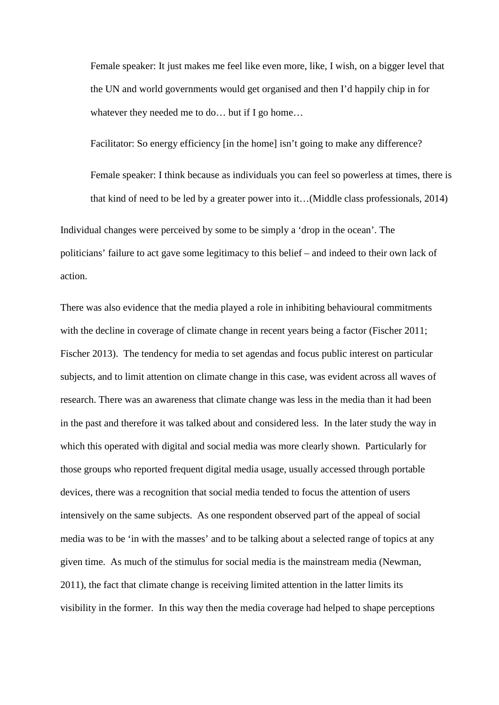Female speaker: It just makes me feel like even more, like, I wish, on a bigger level that the UN and world governments would get organised and then I'd happily chip in for whatever they needed me to do... but if I go home...

Facilitator: So energy efficiency [in the home] isn't going to make any difference?

Female speaker: I think because as individuals you can feel so powerless at times, there is that kind of need to be led by a greater power into it…(Middle class professionals, 2014)

Individual changes were perceived by some to be simply a 'drop in the ocean'. The politicians' failure to act gave some legitimacy to this belief – and indeed to their own lack of action.

There was also evidence that the media played a role in inhibiting behavioural commitments with the decline in coverage of climate change in recent years being a factor (Fischer 2011; Fischer 2013). The tendency for media to set agendas and focus public interest on particular subjects, and to limit attention on climate change in this case, was evident across all waves of research. There was an awareness that climate change was less in the media than it had been in the past and therefore it was talked about and considered less. In the later study the way in which this operated with digital and social media was more clearly shown. Particularly for those groups who reported frequent digital media usage, usually accessed through portable devices, there was a recognition that social media tended to focus the attention of users intensively on the same subjects. As one respondent observed part of the appeal of social media was to be 'in with the masses' and to be talking about a selected range of topics at any given time. As much of the stimulus for social media is the mainstream media (Newman, 2011), the fact that climate change is receiving limited attention in the latter limits its visibility in the former. In this way then the media coverage had helped to shape perceptions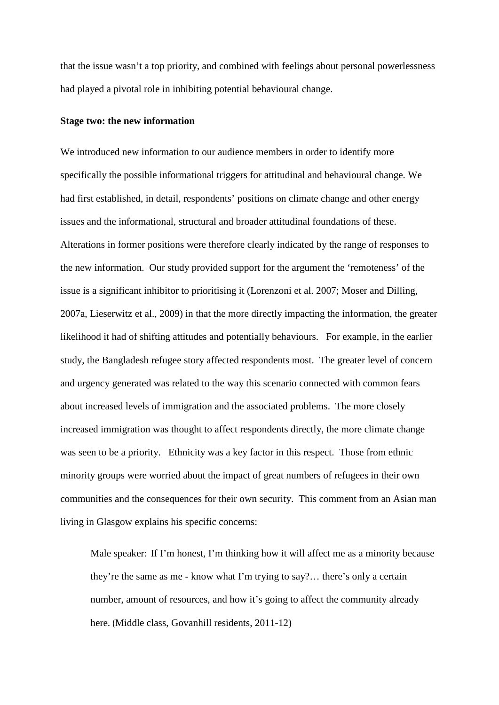that the issue wasn't a top priority, and combined with feelings about personal powerlessness had played a pivotal role in inhibiting potential behavioural change.

### **Stage two: the new information**

We introduced new information to our audience members in order to identify more specifically the possible informational triggers for attitudinal and behavioural change. We had first established, in detail, respondents' positions on climate change and other energy issues and the informational, structural and broader attitudinal foundations of these. Alterations in former positions were therefore clearly indicated by the range of responses to the new information. Our study provided support for the argument the 'remoteness' of the issue is a significant inhibitor to prioritising it (Lorenzoni et al. 2007; Moser and Dilling, 2007a, Lieserwitz et al., 2009) in that the more directly impacting the information, the greater likelihood it had of shifting attitudes and potentially behaviours. For example, in the earlier study, the Bangladesh refugee story affected respondents most. The greater level of concern and urgency generated was related to the way this scenario connected with common fears about increased levels of immigration and the associated problems. The more closely increased immigration was thought to affect respondents directly, the more climate change was seen to be a priority. Ethnicity was a key factor in this respect. Those from ethnic minority groups were worried about the impact of great numbers of refugees in their own communities and the consequences for their own security. This comment from an Asian man living in Glasgow explains his specific concerns:

Male speaker: If I'm honest, I'm thinking how it will affect me as a minority because they're the same as me - know what I'm trying to say?… there's only a certain number, amount of resources, and how it's going to affect the community already here. (Middle class, Govanhill residents, 2011-12)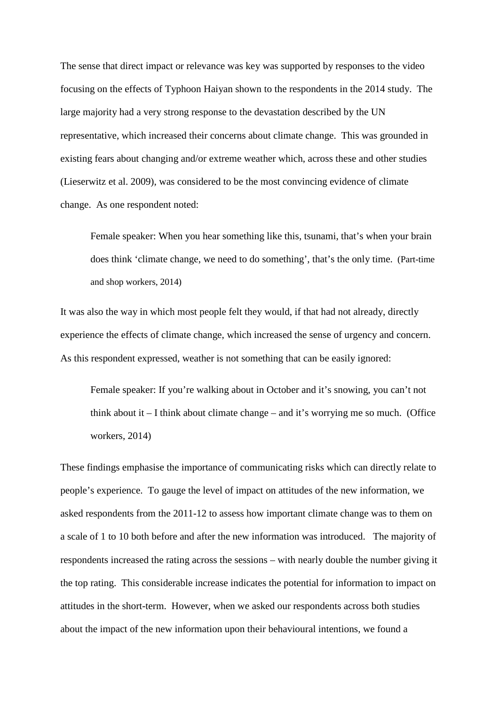The sense that direct impact or relevance was key was supported by responses to the video focusing on the effects of Typhoon Haiyan shown to the respondents in the 2014 study. The large majority had a very strong response to the devastation described by the UN representative, which increased their concerns about climate change. This was grounded in existing fears about changing and/or extreme weather which, across these and other studies (Lieserwitz et al. 2009), was considered to be the most convincing evidence of climate change. As one respondent noted:

Female speaker: When you hear something like this, tsunami, that's when your brain does think 'climate change, we need to do something', that's the only time. (Part-time and shop workers, 2014)

It was also the way in which most people felt they would, if that had not already, directly experience the effects of climate change, which increased the sense of urgency and concern. As this respondent expressed, weather is not something that can be easily ignored:

Female speaker: If you're walking about in October and it's snowing, you can't not think about it – I think about climate change – and it's worrying me so much. (Office workers, 2014)

These findings emphasise the importance of communicating risks which can directly relate to people's experience. To gauge the level of impact on attitudes of the new information, we asked respondents from the 2011-12 to assess how important climate change was to them on a scale of 1 to 10 both before and after the new information was introduced. The majority of respondents increased the rating across the sessions – with nearly double the number giving it the top rating. This considerable increase indicates the potential for information to impact on attitudes in the short-term. However, when we asked our respondents across both studies about the impact of the new information upon their behavioural intentions, we found a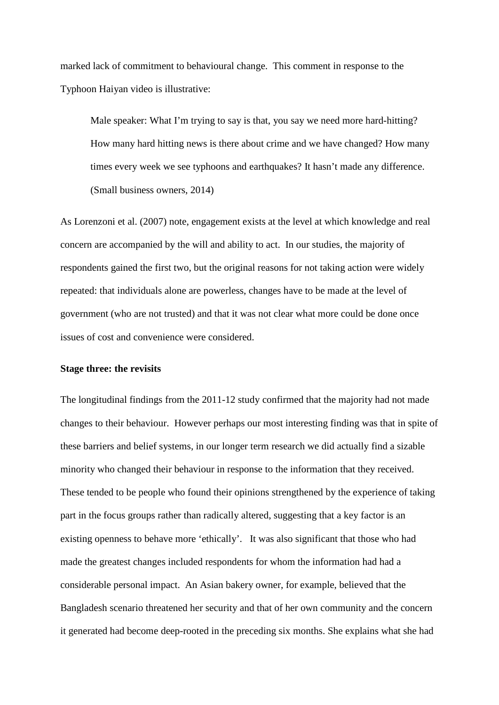marked lack of commitment to behavioural change. This comment in response to the Typhoon Haiyan video is illustrative:

Male speaker: What I'm trying to say is that, you say we need more hard-hitting? How many hard hitting news is there about crime and we have changed? How many times every week we see typhoons and earthquakes? It hasn't made any difference. (Small business owners, 2014)

As Lorenzoni et al. (2007) note, engagement exists at the level at which knowledge and real concern are accompanied by the will and ability to act. In our studies, the majority of respondents gained the first two, but the original reasons for not taking action were widely repeated: that individuals alone are powerless, changes have to be made at the level of government (who are not trusted) and that it was not clear what more could be done once issues of cost and convenience were considered.

#### **Stage three: the revisits**

The longitudinal findings from the 2011-12 study confirmed that the majority had not made changes to their behaviour. However perhaps our most interesting finding was that in spite of these barriers and belief systems, in our longer term research we did actually find a sizable minority who changed their behaviour in response to the information that they received. These tended to be people who found their opinions strengthened by the experience of taking part in the focus groups rather than radically altered, suggesting that a key factor is an existing openness to behave more 'ethically'. It was also significant that those who had made the greatest changes included respondents for whom the information had had a considerable personal impact. An Asian bakery owner, for example, believed that the Bangladesh scenario threatened her security and that of her own community and the concern it generated had become deep-rooted in the preceding six months. She explains what she had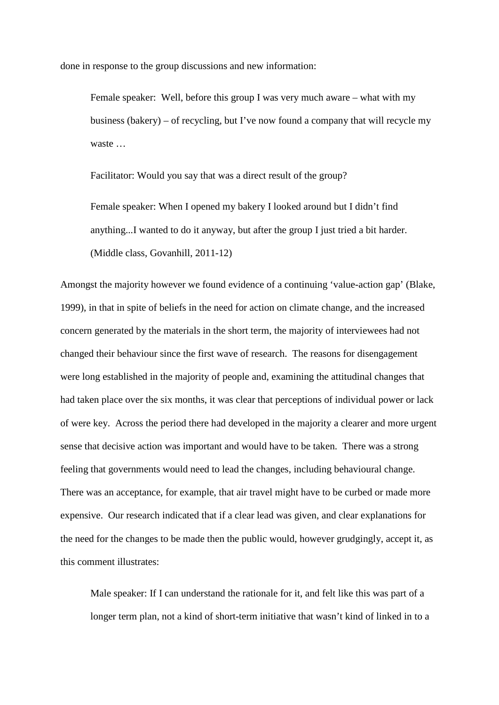done in response to the group discussions and new information:

Female speaker: Well, before this group I was very much aware – what with my business (bakery) – of recycling, but I've now found a company that will recycle my waste

Facilitator: Would you say that was a direct result of the group?

Female speaker: When I opened my bakery I looked around but I didn't find anything...I wanted to do it anyway, but after the group I just tried a bit harder. (Middle class, Govanhill, 2011-12)

Amongst the majority however we found evidence of a continuing 'value-action gap' (Blake, 1999), in that in spite of beliefs in the need for action on climate change, and the increased concern generated by the materials in the short term, the majority of interviewees had not changed their behaviour since the first wave of research. The reasons for disengagement were long established in the majority of people and, examining the attitudinal changes that had taken place over the six months, it was clear that perceptions of individual power or lack of were key. Across the period there had developed in the majority a clearer and more urgent sense that decisive action was important and would have to be taken. There was a strong feeling that governments would need to lead the changes, including behavioural change. There was an acceptance, for example, that air travel might have to be curbed or made more expensive. Our research indicated that if a clear lead was given, and clear explanations for the need for the changes to be made then the public would, however grudgingly, accept it, as this comment illustrates:

Male speaker: If I can understand the rationale for it, and felt like this was part of a longer term plan, not a kind of short-term initiative that wasn't kind of linked in to a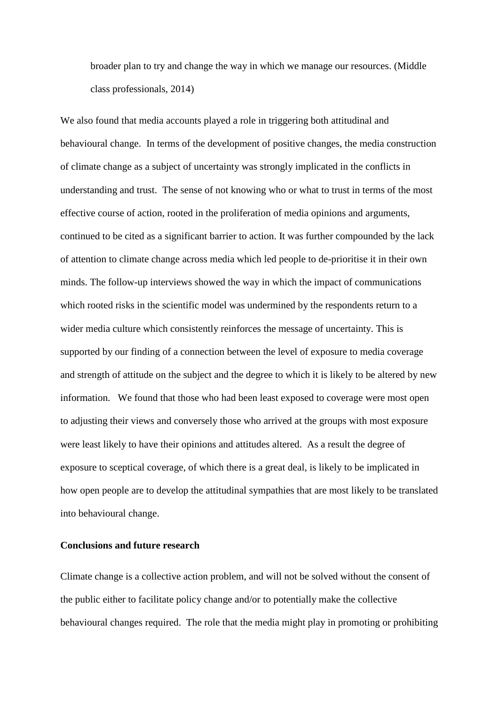broader plan to try and change the way in which we manage our resources. (Middle class professionals, 2014)

We also found that media accounts played a role in triggering both attitudinal and behavioural change. In terms of the development of positive changes, the media construction of climate change as a subject of uncertainty was strongly implicated in the conflicts in understanding and trust. The sense of not knowing who or what to trust in terms of the most effective course of action, rooted in the proliferation of media opinions and arguments, continued to be cited as a significant barrier to action. It was further compounded by the lack of attention to climate change across media which led people to de-prioritise it in their own minds. The follow-up interviews showed the way in which the impact of communications which rooted risks in the scientific model was undermined by the respondents return to a wider media culture which consistently reinforces the message of uncertainty. This is supported by our finding of a connection between the level of exposure to media coverage and strength of attitude on the subject and the degree to which it is likely to be altered by new information. We found that those who had been least exposed to coverage were most open to adjusting their views and conversely those who arrived at the groups with most exposure were least likely to have their opinions and attitudes altered. As a result the degree of exposure to sceptical coverage, of which there is a great deal, is likely to be implicated in how open people are to develop the attitudinal sympathies that are most likely to be translated into behavioural change.

# **Conclusions and future research**

Climate change is a collective action problem, and will not be solved without the consent of the public either to facilitate policy change and/or to potentially make the collective behavioural changes required. The role that the media might play in promoting or prohibiting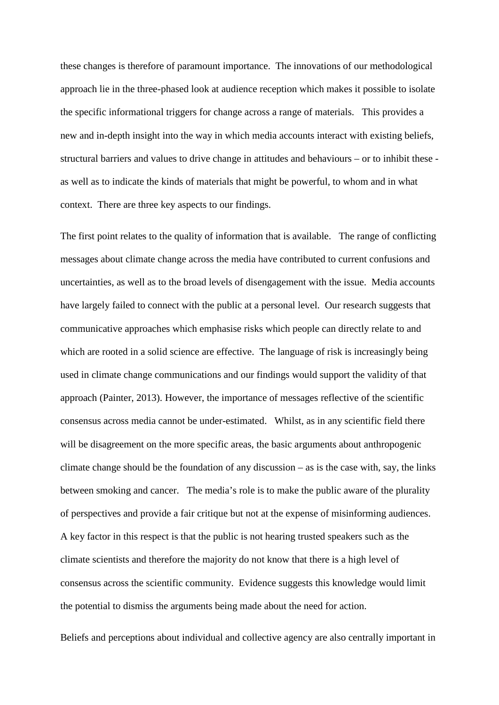these changes is therefore of paramount importance. The innovations of our methodological approach lie in the three-phased look at audience reception which makes it possible to isolate the specific informational triggers for change across a range of materials. This provides a new and in-depth insight into the way in which media accounts interact with existing beliefs, structural barriers and values to drive change in attitudes and behaviours – or to inhibit these as well as to indicate the kinds of materials that might be powerful, to whom and in what context. There are three key aspects to our findings.

The first point relates to the quality of information that is available. The range of conflicting messages about climate change across the media have contributed to current confusions and uncertainties, as well as to the broad levels of disengagement with the issue. Media accounts have largely failed to connect with the public at a personal level. Our research suggests that communicative approaches which emphasise risks which people can directly relate to and which are rooted in a solid science are effective. The language of risk is increasingly being used in climate change communications and our findings would support the validity of that approach (Painter, 2013). However, the importance of messages reflective of the scientific consensus across media cannot be under-estimated. Whilst, as in any scientific field there will be disagreement on the more specific areas, the basic arguments about anthropogenic climate change should be the foundation of any discussion – as is the case with, say, the links between smoking and cancer. The media's role is to make the public aware of the plurality of perspectives and provide a fair critique but not at the expense of misinforming audiences. A key factor in this respect is that the public is not hearing trusted speakers such as the climate scientists and therefore the majority do not know that there is a high level of consensus across the scientific community. Evidence suggests this knowledge would limit the potential to dismiss the arguments being made about the need for action.

Beliefs and perceptions about individual and collective agency are also centrally important in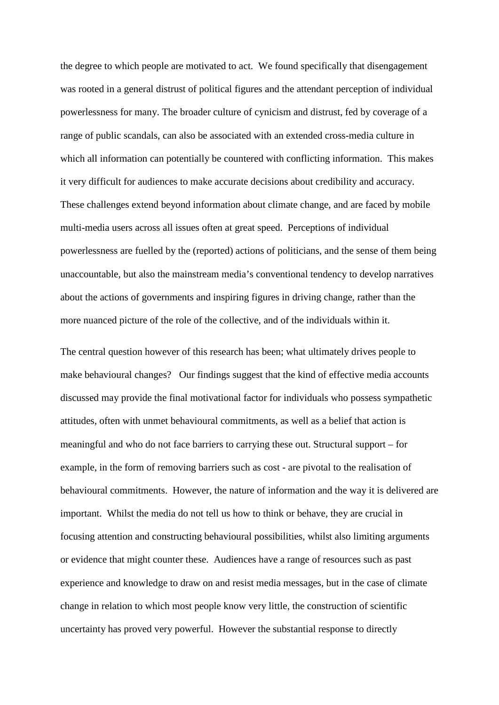the degree to which people are motivated to act. We found specifically that disengagement was rooted in a general distrust of political figures and the attendant perception of individual powerlessness for many. The broader culture of cynicism and distrust, fed by coverage of a range of public scandals, can also be associated with an extended cross-media culture in which all information can potentially be countered with conflicting information. This makes it very difficult for audiences to make accurate decisions about credibility and accuracy. These challenges extend beyond information about climate change, and are faced by mobile multi-media users across all issues often at great speed. Perceptions of individual powerlessness are fuelled by the (reported) actions of politicians, and the sense of them being unaccountable, but also the mainstream media's conventional tendency to develop narratives about the actions of governments and inspiring figures in driving change, rather than the more nuanced picture of the role of the collective, and of the individuals within it.

The central question however of this research has been; what ultimately drives people to make behavioural changes? Our findings suggest that the kind of effective media accounts discussed may provide the final motivational factor for individuals who possess sympathetic attitudes, often with unmet behavioural commitments, as well as a belief that action is meaningful and who do not face barriers to carrying these out. Structural support – for example, in the form of removing barriers such as cost - are pivotal to the realisation of behavioural commitments. However, the nature of information and the way it is delivered are important. Whilst the media do not tell us how to think or behave, they are crucial in focusing attention and constructing behavioural possibilities, whilst also limiting arguments or evidence that might counter these. Audiences have a range of resources such as past experience and knowledge to draw on and resist media messages, but in the case of climate change in relation to which most people know very little, the construction of scientific uncertainty has proved very powerful. However the substantial response to directly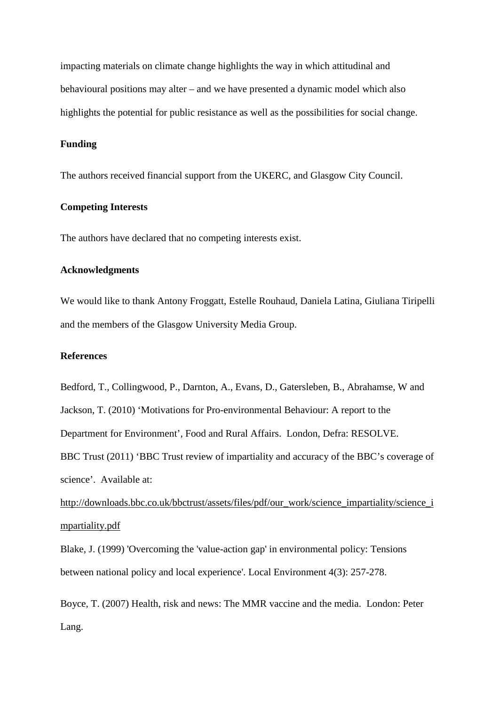impacting materials on climate change highlights the way in which attitudinal and behavioural positions may alter – and we have presented a dynamic model which also highlights the potential for public resistance as well as the possibilities for social change.

# **Funding**

The authors received financial support from the UKERC, and Glasgow City Council.

# **Competing Interests**

The authors have declared that no competing interests exist.

# **Acknowledgments**

We would like to thank Antony Froggatt, Estelle Rouhaud, Daniela Latina, Giuliana Tiripelli and the members of the Glasgow University Media Group.

# **References**

Bedford, T., Collingwood, P., Darnton, A., Evans, D., Gatersleben, B., Abrahamse, W and Jackson, T. (2010) 'Motivations for Pro-environmental Behaviour: A report to the

Department for Environment'*,* Food and Rural Affairs. London, Defra: RESOLVE.

BBC Trust (2011) 'BBC Trust review of impartiality and accuracy of the BBC's coverage of science'. Available at:

[http://downloads.bbc.co.uk/bbctrust/assets/files/pdf/our\\_work/science\\_impartiality/science\\_i](http://downloads.bbc.co.uk/bbctrust/assets/files/pdf/our_work/science_impartiality/science_impartiality.pdf) [mpartiality.pdf](http://downloads.bbc.co.uk/bbctrust/assets/files/pdf/our_work/science_impartiality/science_impartiality.pdf)

Blake, J. (1999) 'Overcoming the 'value-action gap' in environmental policy: Tensions between national policy and local experience'. Local Environment 4(3): 257-278.

Boyce, T. (2007) Health, risk and news: The MMR vaccine and the media. London: Peter Lang.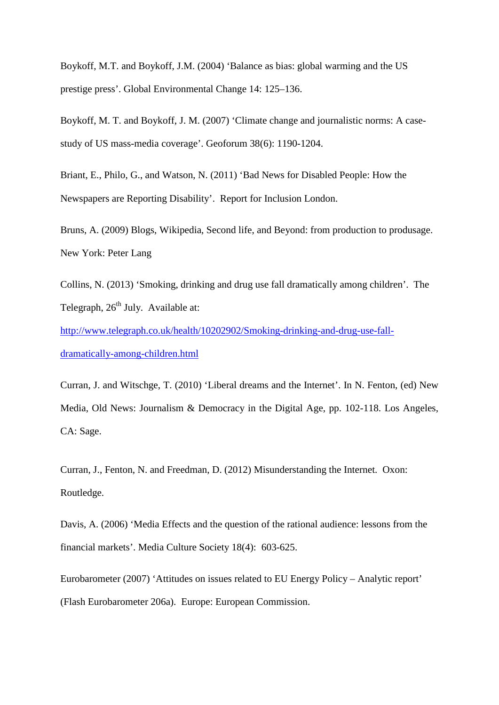Boykoff, M.T. and Boykoff, J.M. (2004) 'Balance as bias: global warming and the US prestige press'. Global Environmental Change 14: 125–136.

Boykoff, M. T. and Boykoff, J. M. (2007) 'Climate change and journalistic norms: A casestudy of US mass-media coverage'. Geoforum 38(6): 1190-1204.

Briant, E., Philo, G., and Watson, N. (2011) 'Bad News for Disabled People: How the Newspapers are Reporting Disability'. Report for Inclusion London.

Bruns, A. (2009) Blogs, Wikipedia, Second life, and Beyond: from production to produsage. New York: Peter Lang

Collins, N. (2013) 'Smoking, drinking and drug use fall dramatically among children'. The Telegraph,  $26<sup>th</sup>$  July. Available at:

[http://www.telegraph.co.uk/health/10202902/Smoking-drinking-and-drug-use-fall](http://www.telegraph.co.uk/health/10202902/Smoking-drinking-and-drug-use-fall-dramatically-among-children.html)[dramatically-among-children.html](http://www.telegraph.co.uk/health/10202902/Smoking-drinking-and-drug-use-fall-dramatically-among-children.html)

Curran, J. and Witschge, T. (2010) 'Liberal dreams and the Internet'. In N. Fenton, (ed) New Media, Old News: Journalism & Democracy in the Digital Age, pp. 102-118. Los Angeles, CA: Sage.

Curran, J., Fenton, N. and Freedman, D. (2012) Misunderstanding the Internet. Oxon: Routledge.

Davis, A. (2006) 'Media Effects and the question of the rational audience: lessons from the financial markets'. Media Culture Society 18(4): 603-625.

Eurobarometer (2007) 'Attitudes on issues related to EU Energy Policy – Analytic report' (Flash Eurobarometer 206a). Europe: European Commission.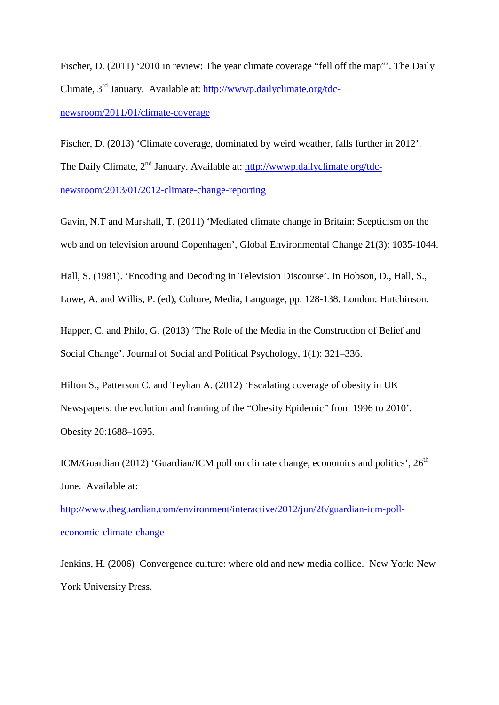Fischer, D. (2011) '2010 in review: The year climate coverage "fell off the map"'. The Daily Climate, 3rd January. Available at: [http://wwwp.dailyclimate.org/tdc](http://wwwp.dailyclimate.org/tdc-newsroom/2011/01/climate-coverage)[newsroom/2011/01/climate-coverage](http://wwwp.dailyclimate.org/tdc-newsroom/2011/01/climate-coverage)

Fischer, D. (2013) 'Climate coverage, dominated by weird weather, falls further in 2012'. The Daily Climate, 2<sup>nd</sup> January. Available at: [http://wwwp.dailyclimate.org/tdc](http://wwwp.dailyclimate.org/tdc-newsroom/2013/01/2012-climate-change-reporting)[newsroom/2013/01/2012-climate-change-reporting](http://wwwp.dailyclimate.org/tdc-newsroom/2013/01/2012-climate-change-reporting) 

Gavin, N.T and Marshall, T. (2011) 'Mediated climate change in Britain: Scepticism on the web and on television around Copenhagen', Global Environmental Change 21(3): 1035-1044.

Hall, S. (1981). 'Encoding and Decoding in Television Discourse'. In Hobson, D., Hall, S.,

Lowe, A. and Willis, P. (ed), Culture, Media, Language, pp. 128-138. London: Hutchinson.

Happer, C. and Philo, G. (2013) 'The Role of the Media in the Construction of Belief and Social Change'. Journal of Social and Political Psychology, 1(1): 321–336.

Hilton S., Patterson C. and Teyhan A. (2012) 'Escalating coverage of obesity in UK Newspapers: the evolution and framing of the "Obesity Epidemic" from 1996 to 2010'. Obesity 20:1688–1695.

ICM/Guardian (2012) 'Guardian/ICM poll on climate change, economics and politics',  $26<sup>th</sup>$ June. Available at:

[http://www.theguardian.com/environment/interactive/2012/jun/26/guardian-icm-poll](http://www.theguardian.com/environment/interactive/2012/jun/26/guardian-icm-poll-economic-climate-change)[economic-climate-change](http://www.theguardian.com/environment/interactive/2012/jun/26/guardian-icm-poll-economic-climate-change)

Jenkins, H. (2006) Convergence culture: where old and new media collide. New York: New York University Press.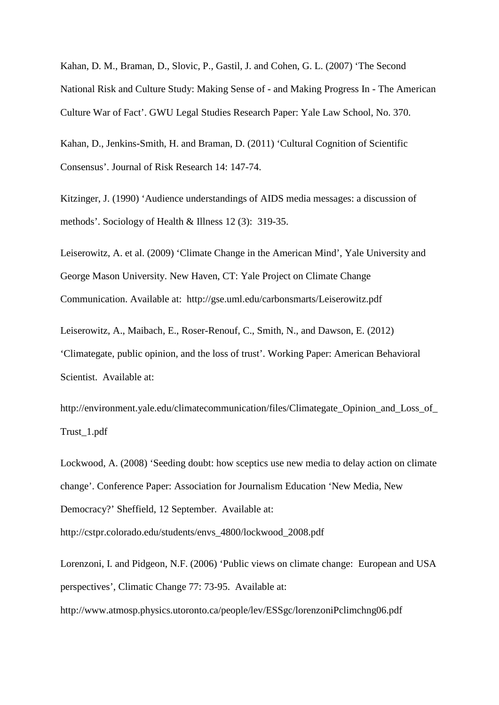Kahan, D. M., Braman, D., Slovic, P., Gastil, J. and Cohen, G. L. (2007) 'The Second National Risk and Culture Study: Making Sense of - and Making Progress In - The American Culture War of Fact'. GWU Legal Studies Research Paper: Yale Law School, No. 370.

Kahan, D., Jenkins-Smith, H. and Braman, D. (2011) 'Cultural Cognition of Scientific Consensus'. Journal of Risk Research 14: 147-74.

Kitzinger, J. (1990) 'Audience understandings of AIDS media messages: a discussion of methods'. Sociology of Health & Illness 12 (3): 319-35.

Leiserowitz, A. et al. (2009) 'Climate Change in the American Mind', Yale University and George Mason University. New Haven, CT: Yale Project on Climate Change Communication. Available at: http://gse.uml.edu/carbonsmarts/Leiserowitz.pdf

Leiserowitz, A., Maibach, E., Roser-Renouf, C., Smith, N., and Dawson, E. (2012) 'Climategate, public opinion, and the loss of trust'. Working Paper: American Behavioral Scientist. Available at:

http://environment.yale.edu/climatecommunication/files/Climategate Opinion and Loss of Trust\_1.pdf

Lockwood, A. (2008) 'Seeding doubt: how sceptics use new media to delay action on climate change'. Conference Paper: Association for Journalism Education 'New Media, New Democracy?' Sheffield, 12 September. Available at:

http://cstpr.colorado.edu/students/envs\_4800/lockwood\_2008.pdf

Lorenzoni, I. and Pidgeon, N.F. (2006) 'Public views on climate change: European and USA perspectives', Climatic Change 77: 73-95. Available at:

http://www.atmosp.physics.utoronto.ca/people/lev/ESSgc/lorenzoniPclimchng06.pdf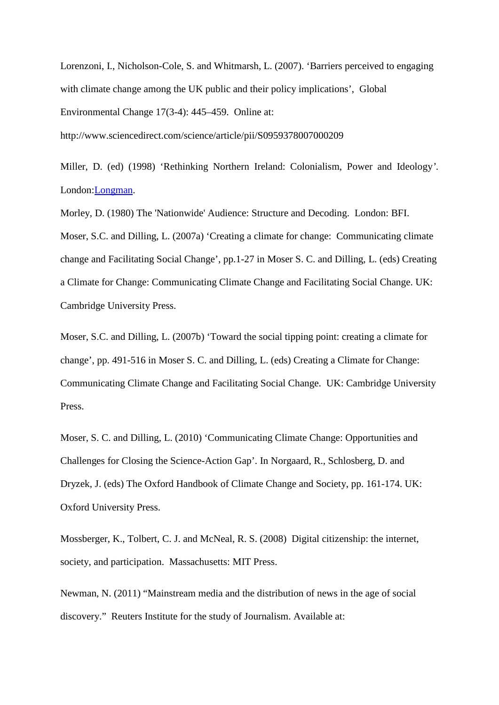Lorenzoni, I., Nicholson-Cole, S. and Whitmarsh, L. (2007). 'Barriers perceived to engaging with climate change among the UK public and their policy implications', Global Environmental Change 17(3-4): 445–459. Online at:

http://www.sciencedirect.com/science/article/pii/S0959378007000209

Miller, D. (ed) (1998) ['Rethinking Northern Ireland: Colonialism, Power and Ideology](http://www.dmiller.info/books/18-rethinking-northern-ireland)*'*. London[:Longman.](http://catalogue.pearsoned.co.uk/educator/product/Rethinking-Northern-Ireland-Culture-Ideology-and-Colonialism/9780582302877.page)

Morley, D. (1980) The 'Nationwide' Audience: Structure and Decoding. London: BFI. Moser, S.C. and Dilling, L. (2007a) 'Creating a climate for change: Communicating climate change and Facilitating Social Change', pp.1-27 in Moser S. C. and Dilling, L. (eds) Creating a Climate for Change: Communicating Climate Change and Facilitating Social Change. UK: Cambridge University Press.

Moser, S.C. and Dilling, L. (2007b) 'Toward the social tipping point: creating a climate for change', pp. 491-516 in Moser S. C. and Dilling, L. (eds) Creating a Climate for Change: Communicating Climate Change and Facilitating Social Change. UK: Cambridge University Press.

Moser, S. C. and Dilling, L. (2010) 'Communicating Climate Change: Opportunities and Challenges for Closing the Science-Action Gap'. In Norgaard, R., Schlosberg, D. and Dryzek, J. (eds) The Oxford Handbook of Climate Change and Society, pp. 161-174. UK: Oxford University Press.

Mossberger, K., Tolbert, C. J. and McNeal, R. S. (2008) Digital citizenship: the internet, society, and participation. Massachusetts: MIT Press.

Newman, N. (2011) "Mainstream media and the distribution of news in the age of social discovery." Reuters Institute for the study of Journalism. Available at: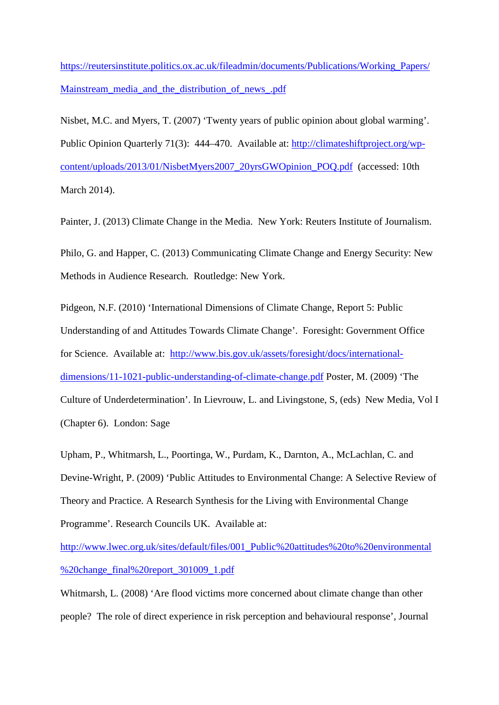[https://reutersinstitute.politics.ox.ac.uk/fileadmin/documents/Publications/Working\\_Papers/](https://reutersinstitute.politics.ox.ac.uk/fileadmin/documents/Publications/Working_Papers/Mainstream_media_and_the_distribution_of_news_.pdf) [Mainstream\\_media\\_and\\_the\\_distribution\\_of\\_news\\_.pdf](https://reutersinstitute.politics.ox.ac.uk/fileadmin/documents/Publications/Working_Papers/Mainstream_media_and_the_distribution_of_news_.pdf)

Nisbet, M.C. and Myers, T. (2007) 'Twenty years of public opinion about global warming'. Public Opinion Quarterly 71(3): 444–470. Available at: [http://climateshiftproject.org/wp](http://climateshiftproject.org/wp-content/uploads/2013/01/NisbetMyers2007_20yrsGWOpinion_POQ.pdf)[content/uploads/2013/01/NisbetMyers2007\\_20yrsGWOpinion\\_POQ.pdf](http://climateshiftproject.org/wp-content/uploads/2013/01/NisbetMyers2007_20yrsGWOpinion_POQ.pdf) (accessed: 10th March 2014).

Painter, J. (2013) Climate Change in the Media. New York: Reuters Institute of Journalism. Philo, G. and Happer, C. (2013) Communicating Climate Change and Energy Security: New Methods in Audience Research. Routledge: New York.

Pidgeon, N.F. (2010) 'International Dimensions of Climate Change, Report 5: Public Understanding of and Attitudes Towards Climate Change'. Foresight: Government Office for Science. Available at: [http://www.bis.gov.uk/assets/foresight/docs/international](http://www.bis.gov.uk/assets/foresight/docs/international-dimensions/11-1021-public-understanding-of-climate-change.pdf)[dimensions/11-1021-public-understanding-of-climate-change.pdf](http://www.bis.gov.uk/assets/foresight/docs/international-dimensions/11-1021-public-understanding-of-climate-change.pdf) Poster, M. (2009) 'The Culture of Underdetermination'. In Lievrouw, L. and Livingstone, S, (eds) New Media, Vol I (Chapter 6). London: Sage

Upham, P., Whitmarsh, L., Poortinga, W., Purdam, K., Darnton, A., McLachlan, C. and Devine-Wright, P. (2009) 'Public Attitudes to Environmental Change: A Selective Review of Theory and Practice. A Research Synthesis for the Living with Environmental Change Programme'. Research Councils UK. Available at:

[http://www.lwec.org.uk/sites/default/files/001\\_Public%20attitudes%20to%20environmental](http://www.lwec.org.uk/sites/default/files/001_Public%20attitudes%20to%20environmental%20change_final%20report_301009_1.pdf) [%20change\\_final%20report\\_301009\\_1.pdf](http://www.lwec.org.uk/sites/default/files/001_Public%20attitudes%20to%20environmental%20change_final%20report_301009_1.pdf)

Whitmarsh, L. (2008) 'Are flood victims more concerned about climate change than other people? The role of direct experience in risk perception and behavioural response', Journal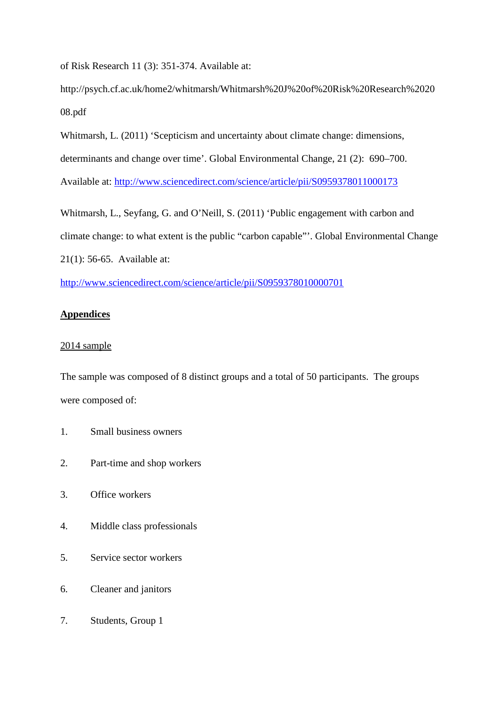of Risk Research 11 (3): 351-374. Available at:

http://psych.cf.ac.uk/home2/whitmarsh/Whitmarsh%20J%20of%20Risk%20Research%2020 08.pdf

Whitmarsh, L. (2011) 'Scepticism and uncertainty about climate change: dimensions, determinants and change over time'. Global Environmental Change, 21 (2): 690–700. Available at:<http://www.sciencedirect.com/science/article/pii/S0959378011000173>

Whitmarsh, L., Seyfang, G. and O'Neill, S. (2011) 'Public engagement with carbon and climate change: to what extent is the public "carbon capable"'. Global Environmental Change 21(1): 56-65. Available at:

<http://www.sciencedirect.com/science/article/pii/S0959378010000701>

# **Appendices**

## 2014 sample

The sample was composed of 8 distinct groups and a total of 50 participants. The groups were composed of:

- 1. Small business owners
- 2. Part-time and shop workers
- 3. Office workers
- 4. Middle class professionals
- 5. Service sector workers
- 6. Cleaner and janitors
- 7. Students, Group 1